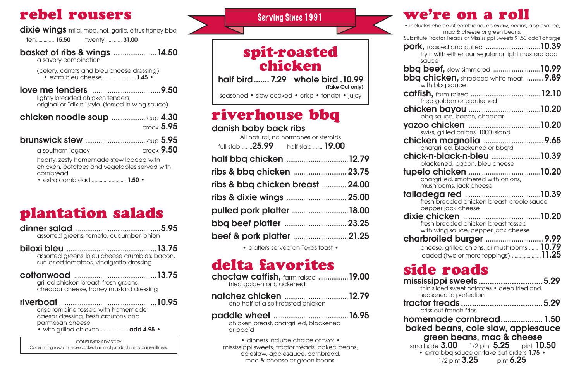| spit-roasted |  |
|--------------|--|
| chicken      |  |

half bird....... 7.29 whole bird .10.99<br>
Take Out only

seasoned • slow cooked • crisp • tender • juicy

## rebel rousers

**dixie wings** mild, med, hot, garlic, citrus honey bbq

(celery, carrots and bleu cheese dressing) • extra bleu cheese ........................ 1.45 •

ten.............. 15.50 twenty ............ 31.00

#### basket of ribs & wings .......................14.50

a savory combination

love me tenders ....................................9.50 lightly breaded chicken tenders, original or "dixie" style. (tossed in wing sauce)

|                                         | $\text{crock } 5.95$ |
|-----------------------------------------|----------------------|
|                                         |                      |
| a southern legacy                       | $\text{crock } 9.50$ |
| hearty, zesty homemade stew loaded with |                      |

chicken, potatoes and vegetables served with cornbread

• extra cornbread ............................. 1.50 •

### plantation salads

| assorted greens, tomato, cucumber, onion                                                                                           |
|------------------------------------------------------------------------------------------------------------------------------------|
| assorted greens, bleu cheese crumbles, bacon,<br>sun dried tomatoes, vinaigrette dressing                                          |
| cottonwood<br>grilled chicken breast, fresh greens,<br>cheddar cheese, honey mustard dressing                                      |
| crisp romaine tossed with homemade<br>caesar dressing, fresh croutons and<br>parmesan cheese<br>· with grilled chicken  add 4.95 · |
| CONSUMER ADVISORY                                                                                                                  |

CONSUMER ADVISORY Consuming raw or undercooked animal products may cause illness.

#### we're on a roll

• dinners include choice of two: • mississippi sweets, tractor treads, baked beans, coleslaw, applesauce, cornbread, mac & cheese or green beans.

## riverhouse bbq

#### danish baby back ribs

| • includes choice of cornbread, coleslaw, beans, applesauce,                                        |  |
|-----------------------------------------------------------------------------------------------------|--|
| mac & cheese or green beans.<br>Substitute Tractor Treads or Mississippi Sweets \$1.50 add'I charge |  |
| <b>pork,</b> roasted and pulled 10.39                                                               |  |
| try it with either our regular or light mustard bbq                                                 |  |
| sauce<br><b>bbq beef,</b> slow simmered 10.99                                                       |  |
| <b>bbq chicken,</b> shredded white meat  9.89                                                       |  |
| with bbq sauce                                                                                      |  |
| fried golden or blackened                                                                           |  |
|                                                                                                     |  |
| bbq sauce, bacon, cheddar                                                                           |  |
|                                                                                                     |  |
| swiss, grilled onions, 1000 island                                                                  |  |
| chargrilled, blackened or bbq'd                                                                     |  |
| chick-n-black-n-bleu 10.39                                                                          |  |
| blackened, bacon, bleu cheese                                                                       |  |
|                                                                                                     |  |
| chargrilled, smothered with onions,                                                                 |  |
| mushrooms, jack cheese                                                                              |  |
| fresh breaded chicken breast, creole sauce,                                                         |  |
| pepper jack cheese                                                                                  |  |
|                                                                                                     |  |
| fresh breaded chicken breast tossed                                                                 |  |
| with wing sauce, pepper jack cheese                                                                 |  |
|                                                                                                     |  |
| cheese, grilled onions, or mushrooms  10.79                                                         |  |
|                                                                                                     |  |
| side roads                                                                                          |  |
| mississippi sweets5.29                                                                              |  |
| thin sliced sweet potatoes • deep fried and                                                         |  |
| seasoned to perfection                                                                              |  |
|                                                                                                     |  |
| criss-cut french fries                                                                              |  |
| homemade cornbread 1.50<br>baked beans, cole slaw, applesauce                                       |  |
| green beans, mac & cheese                                                                           |  |
| small side 3.00 1/2 pint 5.25 pint 10.50                                                            |  |
| • extra bbq sauce on take out orders 1.75 •                                                         |  |
| 1/2 pint $3.25$ pint $6.25$                                                                         |  |
|                                                                                                     |  |

All natural, no hormones or steroids full slab ........25.99 half slab ....... 19.00 half bbq chicken .................................12.79 ribs & bbq chicken ............................ 23.75 ribs & bbq chicken breast ............. 24.00 ribs & dixie wings ................................ 25.00 pulled pork platter ..............................18.00 bbq beef platter ................................. 23.25 beef & pork platter .............................21.25

• platters served on Texas toast •

## delta favorites

| <b>choctaw catfish, farm raised  19.00</b> |  |  |
|--------------------------------------------|--|--|
| fried golden or blackened                  |  |  |

natchez chicken ..................................12.79 one half of a spit-roasted chicken

paddle wheel ........................................16.95 chicken breast, chargrilled, blackened or bbq'd

Serving Since 1991

 $\bullet$  include

#### Substitute

 $\mathsf{S} \mathsf{C}$ bbq b bba c chick

chicke chick-

tupeld

# tallad

## missis side<sub>r</sub>

# home